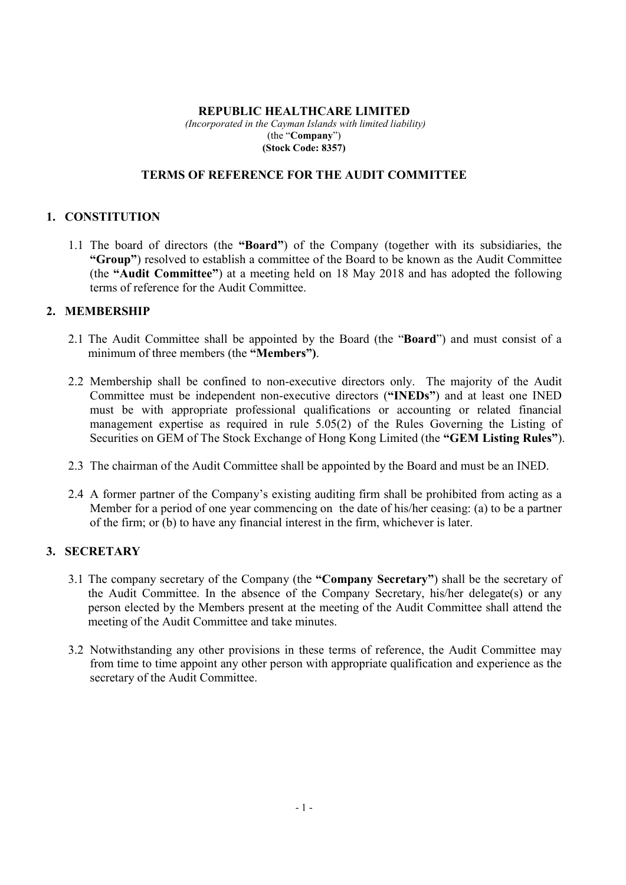## **REPUBLIC HEALTHCARE LIMITED**

 *(Incorporated in the Cayman Islands with limited liability)*  (the "**Company**") **(Stock Code: 8357)**

#### **TERMS OF REFERENCE FOR THE AUDIT COMMITTEE**

### **1. CONSTITUTION**

1.1 The board of directors (the **"Board"**) of the Company (together with its subsidiaries, the **"Group"**) resolved to establish a committee of the Board to be known as the Audit Committee (the **"Audit Committee"**) at a meeting held on 18 May 2018 and has adopted the following terms of reference for the Audit Committee.

# **2. MEMBERSHIP**

- 2.1 The Audit Committee shall be appointed by the Board (the "**Board**") and must consist of a minimum of three members (the **"Members")**.
- 2.2 Membership shall be confined to non-executive directors only. The majority of the Audit Committee must be independent non-executive directors (**"INEDs"**) and at least one INED must be with appropriate professional qualifications or accounting or related financial management expertise as required in rule 5.05(2) of the Rules Governing the Listing of Securities on GEM of The Stock Exchange of Hong Kong Limited (the **"GEM Listing Rules"**).
- 2.3 The chairman of the Audit Committee shall be appointed by the Board and must be an INED.
- 2.4 A former partner of the Company's existing auditing firm shall be prohibited from acting as a Member for a period of one year commencing on the date of his/her ceasing: (a) to be a partner of the firm; or (b) to have any financial interest in the firm, whichever is later.

## **3. SECRETARY**

- 3.1 The company secretary of the Company (the **"Company Secretary"**) shall be the secretary of the Audit Committee. In the absence of the Company Secretary, his/her delegate(s) or any person elected by the Members present at the meeting of the Audit Committee shall attend the meeting of the Audit Committee and take minutes.
- 3.2 Notwithstanding any other provisions in these terms of reference, the Audit Committee may from time to time appoint any other person with appropriate qualification and experience as the secretary of the Audit Committee.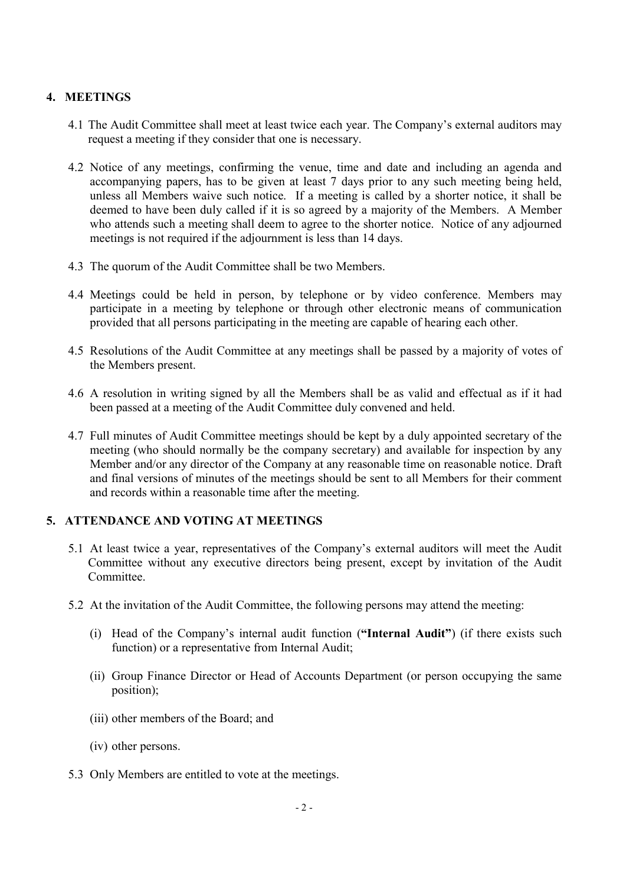# **4. MEETINGS**

- 4.1 The Audit Committee shall meet at least twice each year. The Company's external auditors may request a meeting if they consider that one is necessary.
- 4.2 Notice of any meetings, confirming the venue, time and date and including an agenda and accompanying papers, has to be given at least 7 days prior to any such meeting being held, unless all Members waive such notice. If a meeting is called by a shorter notice, it shall be deemed to have been duly called if it is so agreed by a majority of the Members. A Member who attends such a meeting shall deem to agree to the shorter notice. Notice of any adjourned meetings is not required if the adjournment is less than 14 days.
- 4.3 The quorum of the Audit Committee shall be two Members.
- 4.4 Meetings could be held in person, by telephone or by video conference. Members may participate in a meeting by telephone or through other electronic means of communication provided that all persons participating in the meeting are capable of hearing each other.
- 4.5 Resolutions of the Audit Committee at any meetings shall be passed by a majority of votes of the Members present.
- 4.6 A resolution in writing signed by all the Members shall be as valid and effectual as if it had been passed at a meeting of the Audit Committee duly convened and held.
- 4.7 Full minutes of Audit Committee meetings should be kept by a duly appointed secretary of the meeting (who should normally be the company secretary) and available for inspection by any Member and/or any director of the Company at any reasonable time on reasonable notice. Draft and final versions of minutes of the meetings should be sent to all Members for their comment and records within a reasonable time after the meeting.

# **5. ATTENDANCE AND VOTING AT MEETINGS**

- 5.1 At least twice a year, representatives of the Company's external auditors will meet the Audit Committee without any executive directors being present, except by invitation of the Audit Committee.
- 5.2 At the invitation of the Audit Committee, the following persons may attend the meeting:
	- (i) Head of the Company's internal audit function (**"Internal Audit"**) (if there exists such function) or a representative from Internal Audit;
	- (ii) Group Finance Director or Head of Accounts Department (or person occupying the same position);
	- (iii) other members of the Board; and
	- (iv) other persons.
- 5.3 Only Members are entitled to vote at the meetings.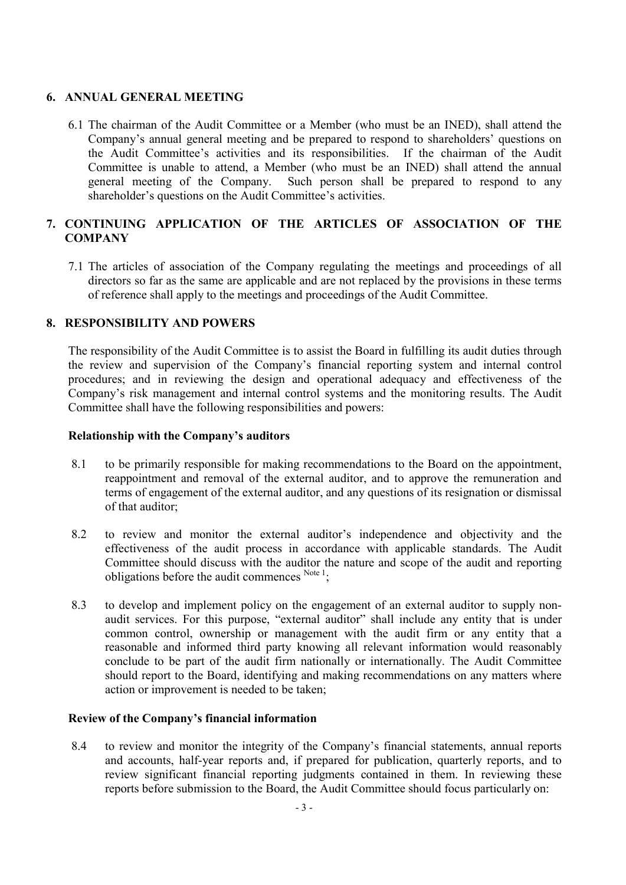## **6. ANNUAL GENERAL MEETING**

6.1 The chairman of the Audit Committee or a Member (who must be an INED), shall attend the Company's annual general meeting and be prepared to respond to shareholders' questions on the Audit Committee's activities and its responsibilities. If the chairman of the Audit Committee is unable to attend, a Member (who must be an INED) shall attend the annual general meeting of the Company. Such person shall be prepared to respond to any shareholder's questions on the Audit Committee's activities.

# **7. CONTINUING APPLICATION OF THE ARTICLES OF ASSOCIATION OF THE COMPANY**

7.1 The articles of association of the Company regulating the meetings and proceedings of all directors so far as the same are applicable and are not replaced by the provisions in these terms of reference shall apply to the meetings and proceedings of the Audit Committee.

## **8. RESPONSIBILITY AND POWERS**

The responsibility of the Audit Committee is to assist the Board in fulfilling its audit duties through the review and supervision of the Company's financial reporting system and internal control procedures; and in reviewing the design and operational adequacy and effectiveness of the Company's risk management and internal control systems and the monitoring results. The Audit Committee shall have the following responsibilities and powers:

## **Relationship with the Company's auditors**

- 8.1 to be primarily responsible for making recommendations to the Board on the appointment, reappointment and removal of the external auditor, and to approve the remuneration and terms of engagement of the external auditor, and any questions of its resignation or dismissal of that auditor;
- 8.2 to review and monitor the external auditor's independence and objectivity and the effectiveness of the audit process in accordance with applicable standards. The Audit Committee should discuss with the auditor the nature and scope of the audit and reporting obligations before the audit commences  $N_{\text{otel}}$ ;
- 8.3 to develop and implement policy on the engagement of an external auditor to supply nonaudit services. For this purpose, "external auditor" shall include any entity that is under common control, ownership or management with the audit firm or any entity that a reasonable and informed third party knowing all relevant information would reasonably conclude to be part of the audit firm nationally or internationally. The Audit Committee should report to the Board, identifying and making recommendations on any matters where action or improvement is needed to be taken;

## **Review of the Company's financial information**

8.4 to review and monitor the integrity of the Company's financial statements, annual reports and accounts, half-year reports and, if prepared for publication, quarterly reports, and to review significant financial reporting judgments contained in them. In reviewing these reports before submission to the Board, the Audit Committee should focus particularly on: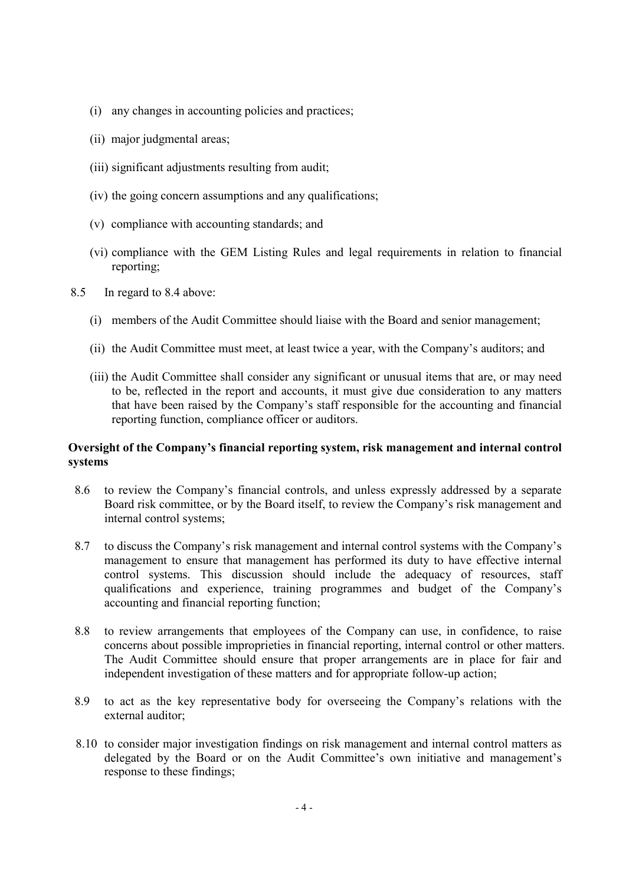- (i) any changes in accounting policies and practices;
- (ii) major judgmental areas;
- (iii) significant adjustments resulting from audit;
- (iv) the going concern assumptions and any qualifications;
- (v) compliance with accounting standards; and
- (vi) compliance with the GEM Listing Rules and legal requirements in relation to financial reporting;
- 8.5 In regard to 8.4 above:
	- (i) members of the Audit Committee should liaise with the Board and senior management;
	- (ii) the Audit Committee must meet, at least twice a year, with the Company's auditors; and
	- (iii) the Audit Committee shall consider any significant or unusual items that are, or may need to be, reflected in the report and accounts, it must give due consideration to any matters that have been raised by the Company's staff responsible for the accounting and financial reporting function, compliance officer or auditors.

## **Oversight of the Company's financial reporting system, risk management and internal control systems**

- 8.6 to review the Company's financial controls, and unless expressly addressed by a separate Board risk committee, or by the Board itself, to review the Company's risk management and internal control systems;
- 8.7 to discuss the Company's risk management and internal control systems with the Company's management to ensure that management has performed its duty to have effective internal control systems. This discussion should include the adequacy of resources, staff qualifications and experience, training programmes and budget of the Company's accounting and financial reporting function;
- 8.8 to review arrangements that employees of the Company can use, in confidence, to raise concerns about possible improprieties in financial reporting, internal control or other matters. The Audit Committee should ensure that proper arrangements are in place for fair and independent investigation of these matters and for appropriate follow-up action;
- 8.9 to act as the key representative body for overseeing the Company's relations with the external auditor;
- 8.10 to consider major investigation findings on risk management and internal control matters as delegated by the Board or on the Audit Committee's own initiative and management's response to these findings;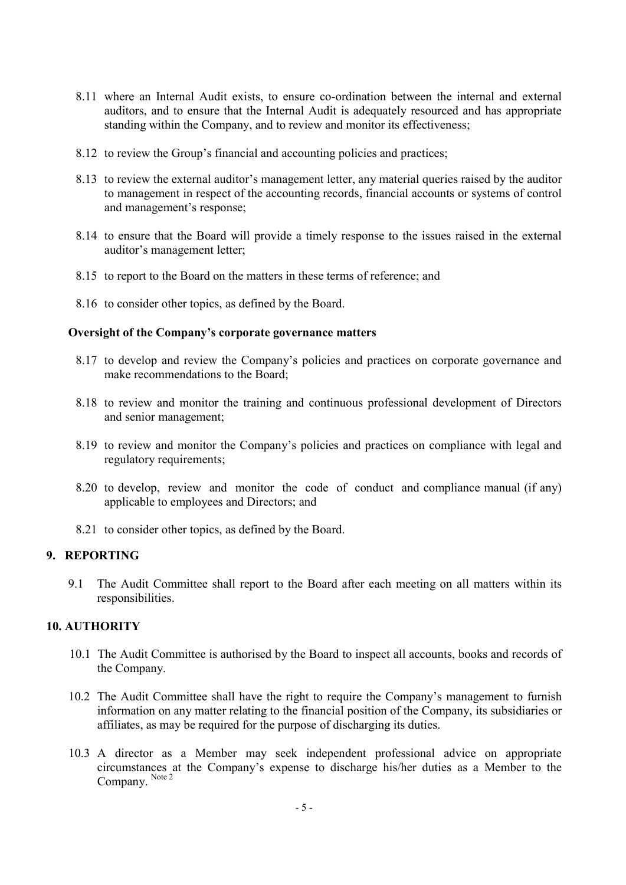- 8.11 where an Internal Audit exists, to ensure co-ordination between the internal and external auditors, and to ensure that the Internal Audit is adequately resourced and has appropriate standing within the Company, and to review and monitor its effectiveness;
- 8.12 to review the Group's financial and accounting policies and practices;
- 8.13 to review the external auditor's management letter, any material queries raised by the auditor to management in respect of the accounting records, financial accounts or systems of control and management's response;
- 8.14 to ensure that the Board will provide a timely response to the issues raised in the external auditor's management letter;
- 8.15 to report to the Board on the matters in these terms of reference; and
- 8.16 to consider other topics, as defined by the Board.

#### **Oversight of the Company's corporate governance matters**

- 8.17 to develop and review the Company's policies and practices on corporate governance and make recommendations to the Board;
- 8.18 to review and monitor the training and continuous professional development of Directors and senior management;
- 8.19 to review and monitor the Company's policies and practices on compliance with legal and regulatory requirements;
- 8.20 to develop, review and monitor the code of conduct and compliance manual (if any) applicable to employees and Directors; and
- 8.21 to consider other topics, as defined by the Board.

## **9. REPORTING**

 9.1 The Audit Committee shall report to the Board after each meeting on all matters within its responsibilities.

## **10. AUTHORITY**

- 10.1 The Audit Committee is authorised by the Board to inspect all accounts, books and records of the Company.
- 10.2 The Audit Committee shall have the right to require the Company's management to furnish information on any matter relating to the financial position of the Company, its subsidiaries or affiliates, as may be required for the purpose of discharging its duties.
- 10.3 A director as a Member may seek independent professional advice on appropriate circumstances at the Company's expense to discharge his/her duties as a Member to the Company. Note 2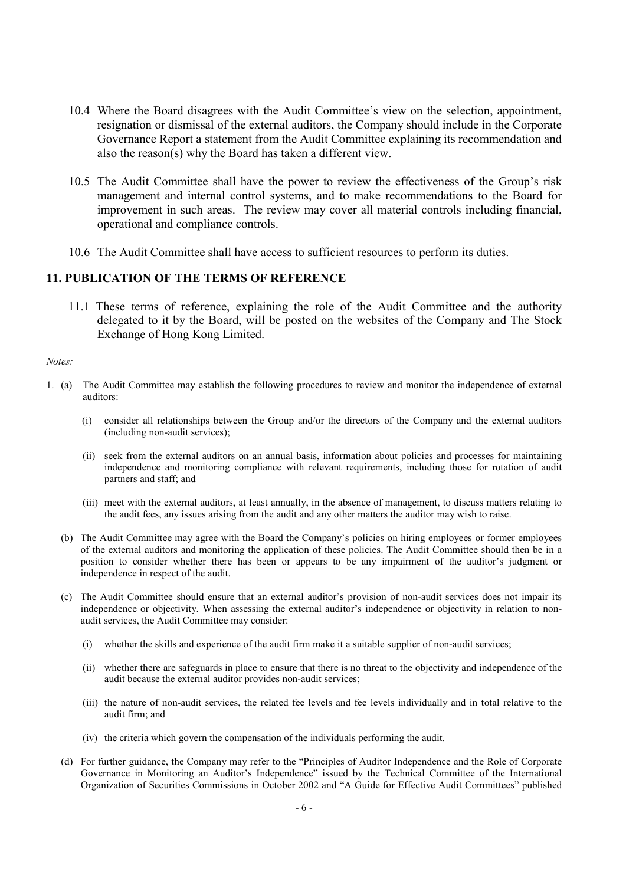- 10.4 Where the Board disagrees with the Audit Committee's view on the selection, appointment, resignation or dismissal of the external auditors, the Company should include in the Corporate Governance Report a statement from the Audit Committee explaining its recommendation and also the reason(s) why the Board has taken a different view.
- 10.5 The Audit Committee shall have the power to review the effectiveness of the Group's risk management and internal control systems, and to make recommendations to the Board for improvement in such areas. The review may cover all material controls including financial, operational and compliance controls.
- 10.6 The Audit Committee shall have access to sufficient resources to perform its duties.

#### **11. PUBLICATION OF THE TERMS OF REFERENCE**

11.1 These terms of reference, explaining the role of the Audit Committee and the authority delegated to it by the Board, will be posted on the websites of the Company and The Stock Exchange of Hong Kong Limited.

#### *Notes:*

- 1. (a) The Audit Committee may establish the following procedures to review and monitor the independence of external auditors:
	- (i) consider all relationships between the Group and/or the directors of the Company and the external auditors (including non-audit services);
	- (ii) seek from the external auditors on an annual basis, information about policies and processes for maintaining independence and monitoring compliance with relevant requirements, including those for rotation of audit partners and staff: and
	- (iii) meet with the external auditors, at least annually, in the absence of management, to discuss matters relating to the audit fees, any issues arising from the audit and any other matters the auditor may wish to raise.
	- (b) The Audit Committee may agree with the Board the Company's policies on hiring employees or former employees of the external auditors and monitoring the application of these policies. The Audit Committee should then be in a position to consider whether there has been or appears to be any impairment of the auditor's judgment or independence in respect of the audit.
	- (c) The Audit Committee should ensure that an external auditor's provision of non-audit services does not impair its independence or objectivity. When assessing the external auditor's independence or objectivity in relation to nonaudit services, the Audit Committee may consider:
		- (i) whether the skills and experience of the audit firm make it a suitable supplier of non-audit services;
		- (ii) whether there are safeguards in place to ensure that there is no threat to the objectivity and independence of the audit because the external auditor provides non-audit services;
		- (iii) the nature of non-audit services, the related fee levels and fee levels individually and in total relative to the audit firm; and
		- (iv) the criteria which govern the compensation of the individuals performing the audit.
	- (d) For further guidance, the Company may refer to the "Principles of Auditor Independence and the Role of Corporate Governance in Monitoring an Auditor's Independence" issued by the Technical Committee of the International Organization of Securities Commissions in October 2002 and "A Guide for Effective Audit Committees" published